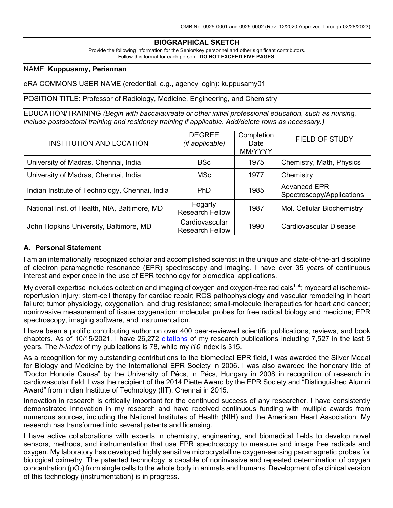# **BIOGRAPHICAL SKETCH**

Provide the following information for the Senior/key personnel and other significant contributors. Follow this format for each person. **DO NOT EXCEED FIVE PAGES.**

### NAME: **Kuppusamy, Periannan**

#### eRA COMMONS USER NAME (credential, e.g., agency login): kuppusamy01

POSITION TITLE: Professor of Radiology, Medicine, Engineering, and Chemistry

EDUCATION/TRAINING *(Begin with baccalaureate or other initial professional education, such as nursing, include postdoctoral training and residency training if applicable. Add/delete rows as necessary.)*

| <b>INSTITUTION AND LOCATION</b>                | <b>DEGREE</b><br>(if applicable)         | Completion<br>Date<br>MM/YYYY | FIELD OF STUDY                                   |
|------------------------------------------------|------------------------------------------|-------------------------------|--------------------------------------------------|
| University of Madras, Chennai, India           | <b>BSc</b>                               | 1975                          | Chemistry, Math, Physics                         |
| University of Madras, Chennai, India           | <b>MSc</b>                               | 1977                          | Chemistry                                        |
| Indian Institute of Technology, Chennai, India | <b>PhD</b>                               | 1985                          | <b>Advanced EPR</b><br>Spectroscopy/Applications |
| National Inst. of Health, NIA, Baltimore, MD   | Fogarty<br><b>Research Fellow</b>        | 1987                          | Mol. Cellular Biochemistry                       |
| John Hopkins University, Baltimore, MD         | Cardiovascular<br><b>Research Fellow</b> | 1990                          | Cardiovascular Disease                           |

### **A. Personal Statement**

I am an internationally recognized scholar and accomplished scientist in the unique and state-of-the-art discipline of electron paramagnetic resonance (EPR) spectroscopy and imaging. I have over 35 years of continuous interest and experience in the use of EPR technology for biomedical applications.

My overall expertise includes detection and imaging of oxygen and oxygen-free radicals<sup>1–4</sup>; myocardial ischemiareperfusion injury; stem-cell therapy for cardiac repair; ROS pathophysiology and vascular remodeling in heart failure; tumor physiology, oxygenation, and drug resistance; small-molecule therapeutics for heart and cancer; noninvasive measurement of tissue oxygenation; molecular probes for free radical biology and medicine; EPR spectroscopy, imaging software, and instrumentation.

I have been a prolific contributing author on over 400 peer-reviewed scientific publications, reviews, and book chapters. As of 10/15/2021, I have 26,272 citations of my research publications including 7,527 in the last 5 years. The *h-index* of my publications is 78, while my *i10* index is 315**.**

As a recognition for my outstanding contributions to the biomedical EPR field, I was awarded the Silver Medal for Biology and Medicine by the International EPR Society in 2006. I was also awarded the honorary title of "Doctor Honoris Causa" by the University of Pécs, in Pécs, Hungary in 2008 in recognition of research in cardiovascular field. I was the recipient of the 2014 Piette Award by the EPR Society and "Distinguished Alumni Award" from Indian Institute of Technology (IIT), Chennai in 2015.

Innovation in research is critically important for the continued success of any researcher. I have consistently demonstrated innovation in my research and have received continuous funding with multiple awards from numerous sources, including the National Institutes of Health (NIH) and the American Heart Association. My research has transformed into several patents and licensing.

I have active collaborations with experts in chemistry, engineering, and biomedical fields to develop novel sensors, methods, and instrumentation that use EPR spectroscopy to measure and image free radicals and oxygen. My laboratory has developed highly sensitive microcrystalline oxygen-sensing paramagnetic probes for biological oximetry. The patented technology is capable of noninvasive and repeated determination of oxygen concentration ( $pO<sub>2</sub>$ ) from single cells to the whole body in animals and humans. Development of a clinical version of this technology (instrumentation) is in progress.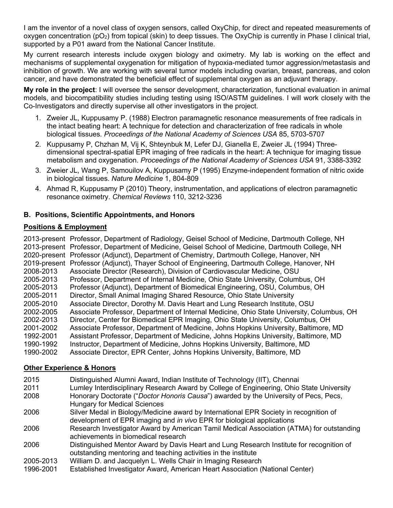I am the inventor of a novel class of oxygen sensors, called OxyChip, for direct and repeated measurements of oxygen concentration ( $pO<sub>2</sub>$ ) from topical (skin) to deep tissues. The OxyChip is currently in Phase I clinical trial, supported by a P01 award from the National Cancer Institute.

My current research interests include oxygen biology and oximetry. My lab is working on the effect and mechanisms of supplemental oxygenation for mitigation of hypoxia-mediated tumor aggression/metastasis and inhibition of growth. We are working with several tumor models including ovarian, breast, pancreas, and colon cancer, and have demonstrated the beneficial effect of supplemental oxygen as an adjuvant therapy.

**My role in the project**: I will oversee the sensor development, characterization, functional evaluation in animal models, and biocompatibility studies including testing using ISO/ASTM guidelines. I will work closely with the Co-Investigators and directly supervise all other investigators in the project.

- 1. Zweier JL, Kuppusamy P. (1988) Electron paramagnetic resonance measurements of free radicals in the intact beating heart: A technique for detection and characterization of free radicals in whole biological tissues*. Proceedings of the National Academy of Sciences USA* 85, 5703-5707
- 2. Kuppusamy P, Chzhan M, Vij K, Shteynbuk M, Lefer DJ, Gianella E, Zweier JL (1994) Threedimensional spectral-spatial EPR imaging of free radicals in the heart: A technique for imaging tissue metabolism and oxygenation. *Proceedings of the National Academy of Sciences USA* 91, 3388-3392
- 3. Zweier JL, Wang P, Samouilov A, Kuppusamy P (1995) Enzyme-independent formation of nitric oxide in biological tissues. *Nature Medicine* 1, 804-809
- 4. Ahmad R, Kuppusamy P (2010) Theory, instrumentation, and applications of electron paramagnetic resonance oximetry. *Chemical Reviews* 110, 3212-3236

# **B. Positions, Scientific Appointments, and Honors**

# **Positions & Employment**

2013-present Professor, Department of Radiology, Geisel School of Medicine, Dartmouth College, NH 2013-present Professor, Department of Medicine, Geisel School of Medicine, Dartmouth College, NH 2020-present Professor (Adjunct), Department of Chemistry, Dartmouth College, Hanover, NH 2019-present Professor (Adjunct), Thayer School of Engineering, Dartmouth College, Hanover, NH 2008-2013 Associate Director (Research), Division of Cardiovascular Medicine, OSU 2005-2013 Professor, Department of Internal Medicine, Ohio State University, Columbus, OH 2005-2013 Professor (Adjunct), Department of Biomedical Engineering, OSU, Columbus, OH 2005-2011 Director, Small Animal Imaging Shared Resource, Ohio State University 2005-2010 Associate Director, Dorothy M. Davis Heart and Lung Research Institute, OSU 2002-2005 Associate Professor, Department of Internal Medicine, Ohio State University, Columbus, OH 2002-2013 Director, Center for Biomedical EPR Imaging, Ohio State University, Columbus, OH 2001-2002 Associate Professor, Department of Medicine, Johns Hopkins University, Baltimore, MD 1992-2001 Assistant Professor, Department of Medicine, Johns Hopkins University, Baltimore, MD 1990-1992 Instructor, Department of Medicine, Johns Hopkins University, Baltimore, MD 1990-2002 Associate Director, EPR Center, Johns Hopkins University, Baltimore, MD

## **Other Experience & Honors**

| 2015      | Distinguished Alumni Award, Indian Institute of Technology (IIT), Chennai                                                                                              |
|-----------|------------------------------------------------------------------------------------------------------------------------------------------------------------------------|
| 2011      | Lumley Interdisciplinary Research Award by College of Engineering, Ohio State University                                                                               |
| 2008      | Honorary Doctorate ("Doctor Honoris Causa") awarded by the University of Pecs, Pecs,<br><b>Hungary for Medical Sciences</b>                                            |
| 2006      | Silver Medal in Biology/Medicine award by International EPR Society in recognition of<br>development of EPR imaging and <i>in vivo</i> EPR for biological applications |
| 2006      | Research Investigator Award by American Tamil Medical Association (ATMA) for outstanding<br>achievements in biomedical research                                        |
| 2006      | Distinguished Mentor Award by Davis Heart and Lung Research Institute for recognition of<br>outstanding mentoring and teaching activities in the institute             |
| 2005-2013 | William D. and Jacquelyn L. Wells Chair in Imaging Research                                                                                                            |
| 1996-2001 | Established Investigator Award, American Heart Association (National Center)                                                                                           |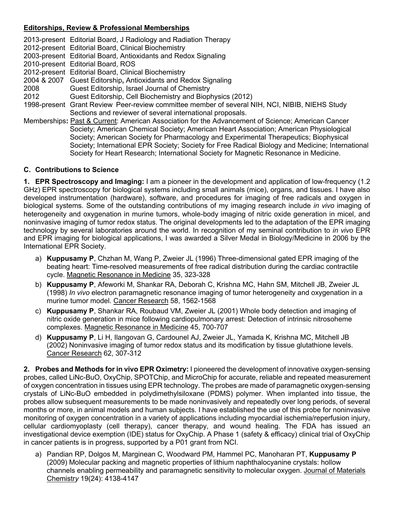# **Editorships, Review & Professional Memberships**

2013-present Editorial Board, J Radiology and Radiation Therapy 2012-present Editorial Board, Clinical Biochemistry 2003-present Editorial Board, Antioxidants and Redox Signaling 2010-present Editorial Board, ROS 2012-present Editorial Board, Clinical Biochemistry 2004 & 2007 Guest Editorship**,** Antioxidants and Redox Signaling 2008 Guest Editorship, Israel Journal of Chemistry 2012 Guest Editorship, Cell Biochemistry and Biophysics (2012) 1998-present Grant Review Peer-review committee member of several NIH, NCI, NIBIB, NIEHS Study Sections and reviewer of several international proposals. Memberships**:** Past & Current: American Association for the Advancement of Science; American Cancer Society; American Chemical Society; American Heart Association; American Physiological Society; American Society for Pharmacology and Experimental Therapeutics; Biophysical Society; International EPR Society; Society for Free Radical Biology and Medicine; International Society for Heart Research; International Society for Magnetic Resonance in Medicine.

### **C. Contributions to Science**

**1. EPR Spectroscopy and Imaging:** I am a pioneer in the development and application of low-frequency (1.2 GHz) EPR spectroscopy for biological systems including small animals (mice), organs, and tissues. I have also developed instrumentation (hardware), software, and procedures for imaging of free radicals and oxygen in biological systems. Some of the outstanding contributions of my imaging research include *in vivo* imaging of heterogeneity and oxygenation in murine tumors, whole-body imaging of nitric oxide generation in micel, and noninvasive imaging of tumor redox status. The original developments led to the adaptation of the EPR imaging technology by several laboratories around the world. In recognition of my seminal contribution to *in vivo* EPR and EPR imaging for biological applications, I was awarded a Silver Medal in Biology/Medicine in 2006 by the International EPR Society.

- a) **Kuppusamy P**, Chzhan M, Wang P, Zweier JL (1996) Three-dimensional gated EPR imaging of the beating heart: Time-resolved measurements of free radical distribution during the cardiac contractile cycle. Magnetic Resonance in Medicine 35, 323-328
- b) **Kuppusamy P**, Afeworki M, Shankar RA, Deborah C, Krishna MC, Hahn SM, Mitchell JB, Zweier JL (1998) *In vivo* electron paramagnetic resonance imaging of tumor heterogeneity and oxygenation in a murine tumor model. Cancer Research 58, 1562-1568
- c) **Kuppusamy P**, Shankar RA, Roubaud VM, Zweier JL (2001) Whole body detection and imaging of nitric oxide generation in mice following cardiopulmonary arrest: Detection of intrinsic nitrosoheme complexes. Magnetic Resonance in Medicine 45, 700-707
- d) **Kuppusamy P**, Li H, Ilangovan G, Cardounel AJ, Zweier JL, Yamada K, Krishna MC, Mitchell JB (2002) Noninvasive imaging of tumor redox status and its modification by tissue glutathione levels. Cancer Research 62, 307-312

**2. Probes and Methods for in vivo EPR Oximetry:** I pioneered the development of innovative oxygen-sensing probes, called LiNc-BuO, OxyChip, SPOTChip, and MicroChip for accurate, reliable and repeated measurement of oxygen concentration in tissues using EPR technology. The probes are made of paramagnetic oxygen-sensing crystals of LiNc-BuO embedded in polydimethylsiloxane (PDMS) polymer. When implanted into tissue, the probes allow subsequent measurements to be made noninvasively and repeatedly over long periods, of several months or more, in animal models and human subjects. I have established the use of this probe for noninvasive monitoring of oxygen concentration in a variety of applications including myocardial ischemia/reperfusion injury, cellular cardiomyoplasty (cell therapy), cancer therapy, and wound healing. The FDA has issued an investigational device exemption (IDE) status for OxyChip. A Phase 1 (safety & efficacy) clinical trial of OxyChip in cancer patients is in progress, supported by a P01 grant from NCI.

a) Pandian RP, Dolgos M, Marginean C, Woodward PM, Hammel PC, Manoharan PT, **Kuppusamy P** (2009) Molecular packing and magnetic properties of lithium naphthalocyanine crystals: hollow channels enabling permeability and paramagnetic sensitivity to molecular oxygen. Journal of Materials Chemistr*y* 19(24): 4138-4147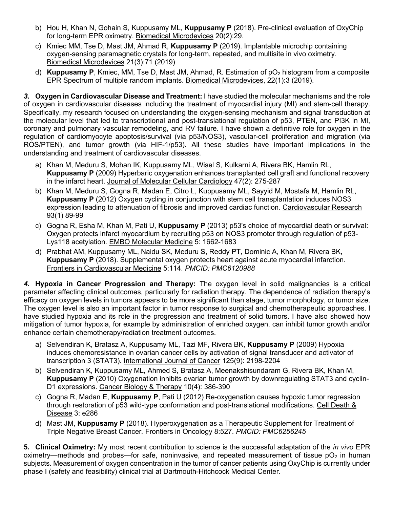- b) Hou H, Khan N, Gohain S, Kuppusamy ML, **Kuppusamy P** (2018). Pre-clinical evaluation of OxyChip for long-term EPR oximetry. Biomedical Microdevices 20(2):29.
- c) Kmiec MM, Tse D, Mast JM, Ahmad R, **Kuppusamy P** (2019). Implantable microchip containing oxygen-sensing paramagnetic crystals for long-term, repeated, and multisite in vivo oximetry. Biomedical Microdevices 21(3):71 (2019)
- d) **Kuppusamy P**, Kmiec, MM, Tse D, Mast JM, Ahmad, R. Estimation of pO<sub>2</sub> histogram from a composite EPR Spectrum of multiple random implants. Biomedical Microdevices, 22(1):3 (2019).

*3.* **Oxygen in Cardiovascular Disease and Treatment:** I have studied the molecular mechanisms and the role of oxygen in cardiovascular diseases including the treatment of myocardial injury (MI) and stem-cell therapy. Specifically, my research focused on understanding the oxygen-sensing mechanism and signal transduction at the molecular level that led to transcriptional and post-translational regulation of p53, PTEN, and PI3K in MI, coronary and pulmonary vascular remodeling, and RV failure. I have shown a definitive role for oxygen in the regulation of cardiomyocyte apoptosis/survival (via p53/NOS3), vascular-cell proliferation and migration (via ROS/PTEN), and tumor growth (via HIF-1/p53). All these studies have important implications in the understanding and treatment of cardiovascular diseases.

- a) Khan M, Meduru S, Mohan IK, Kuppusamy ML, Wisel S, Kulkarni A, Rivera BK, Hamlin RL, **Kuppusamy P** (2009) Hyperbaric oxygenation enhances transplanted cell graft and functional recovery in the infarct heart. Journal of Molecular Cellular Cardiology 47(2): 275-287
- b) Khan M, Meduru S, Gogna R, Madan E, Citro L, Kuppusamy ML, Sayyid M, Mostafa M, Hamlin RL, **Kuppusamy P** (2012) Oxygen cycling in conjunction with stem cell transplantation induces NOS3 expression leading to attenuation of fibrosis and improved cardiac function. Cardiovascular Research 93(1) 89-99
- c) Gogna R, Esha M, Khan M, Pati U, **Kuppusamy P** (2013) p53's choice of myocardial death or survival: Oxygen protects infarct myocardium by recruiting p53 on NOS3 promoter through regulation of p53- Lys118 acetylation. EMBO Molecular Medicine 5: 1662-1683
- d) Prabhat AM, Kuppusamy ML, Naidu SK, Meduru S, Reddy PT, Dominic A, Khan M, Rivera BK, **Kuppusamy P** (2018). Supplemental oxygen protects heart against acute myocardial infarction. Frontiers in Cardiovascular Medicine 5:114. *PMCID: PMC6120988*

*4.* **Hypoxia in Cancer Progression and Therapy:** The oxygen level in solid malignancies is a critical parameter affecting clinical outcomes, particularly for radiation therapy. The dependence of radiation therapy's efficacy on oxygen levels in tumors appears to be more significant than stage, tumor morphology, or tumor size. The oxygen level is also an important factor in tumor response to surgical and chemotherapeutic approaches. I have studied hypoxia and its role in the progression and treatment of solid tumors. I have also showed how mitigation of tumor hypoxia, for example by administration of enriched oxygen, can inhibit tumor growth and/or enhance certain chemotherapy/radiation treatment outcomes.

- a) Selvendiran K, Bratasz A, Kuppusamy ML, Tazi MF, Rivera BK, **Kuppusamy P** (2009) Hypoxia induces chemoresistance in ovarian cancer cells by activation of signal transducer and activator of transcription 3 (STAT3). International Journal of Cancer 125(9): 2198-2204
- b) Selvendiran K, Kuppusamy ML, Ahmed S, Bratasz A, Meenakshisundaram G, Rivera BK, Khan M, **Kuppusamy P** (2010) Oxygenation inhibits ovarian tumor growth by downregulating STAT3 and cyclin-D1 expressions. Cancer Biology & Therapy 10(4): 386-390
- c) Gogna R, Madan E, **Kuppusamy P**, Pati U (2012) Re-oxygenation causes hypoxic tumor regression through restoration of p53 wild-type conformation and post-translational modifications. Cell Death & Disease 3: e286
- d) Mast JM, **Kuppusamy P** (2018). Hyperoxygenation as a Therapeutic Supplement for Treatment of Triple Negative Breast Cancer*.* Frontiers in Oncology 8:527. *PMCID: PMC6256245*

**5. Clinical Oximetry:** My most recent contribution to science is the successful adaptation of the *in vivo* EPR oximetry—methods and probes—for safe, noninvasive, and repeated measurement of tissue  $pO<sub>2</sub>$  in human subjects. Measurement of oxygen concentration in the tumor of cancer patients using OxyChip is currently under phase I (safety and feasibility) clinical trial at Dartmouth-Hitchcock Medical Center.